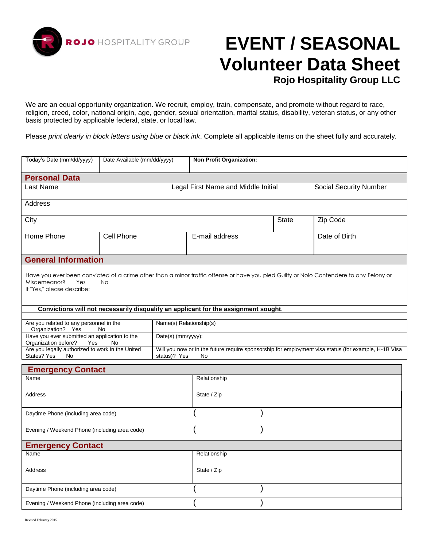

# **EVENT / SEASONAL Volunteer Data Sheet**

**Rojo Hospitality Group LLC**

We are an equal opportunity organization. We recruit, employ, train, compensate, and promote without regard to race, religion, creed, color, national origin, age, gender, sexual orientation, marital status, disability, veteran status, or any other basis protected by applicable federal, state, or local law.

Please *print clearly in block letters using blue or black ink*. Complete all applicable items on the sheet fully and accurately.

| Today's Date (mm/dd/yyyy)                                                                                                                                                                                | Date Available (mm/dd/yyyy) |                                                                                                                            | <b>Non Profit Organization:</b>                                                     |                               |               |  |  |  |
|----------------------------------------------------------------------------------------------------------------------------------------------------------------------------------------------------------|-----------------------------|----------------------------------------------------------------------------------------------------------------------------|-------------------------------------------------------------------------------------|-------------------------------|---------------|--|--|--|
| <b>Personal Data</b>                                                                                                                                                                                     |                             |                                                                                                                            |                                                                                     |                               |               |  |  |  |
| Last Name                                                                                                                                                                                                |                             | Legal First Name and Middle Initial                                                                                        |                                                                                     | <b>Social Security Number</b> |               |  |  |  |
| <b>Address</b>                                                                                                                                                                                           |                             |                                                                                                                            |                                                                                     |                               |               |  |  |  |
| City                                                                                                                                                                                                     |                             |                                                                                                                            |                                                                                     | <b>State</b>                  | Zip Code      |  |  |  |
| Home Phone                                                                                                                                                                                               | Cell Phone                  |                                                                                                                            | E-mail address                                                                      |                               | Date of Birth |  |  |  |
| <b>General Information</b>                                                                                                                                                                               |                             |                                                                                                                            |                                                                                     |                               |               |  |  |  |
| Have you ever been convicted of a crime other than a minor traffic offense or have you pled Guilty or Nolo Contendere to any Felony or<br>Misdemeanor?<br>Yes<br><b>No</b><br>If "Yes," please describe: |                             |                                                                                                                            |                                                                                     |                               |               |  |  |  |
|                                                                                                                                                                                                          |                             |                                                                                                                            | Convictions will not necessarily disqualify an applicant for the assignment sought. |                               |               |  |  |  |
| Are you related to any personnel in the<br>Organization? Yes<br>No                                                                                                                                       |                             | Name(s) Relationship(s)                                                                                                    |                                                                                     |                               |               |  |  |  |
| Have you ever submitted an application to the<br>Organization before?<br>Yes<br>No                                                                                                                       |                             | Date(s) (mm/yyyy):                                                                                                         |                                                                                     |                               |               |  |  |  |
| Are you legally authorized to work in the United<br>States? Yes<br><b>No</b>                                                                                                                             |                             | Will you now or in the future require sponsorship for employment visa status (for example, H-1B Visa<br>status)? Yes<br>No |                                                                                     |                               |               |  |  |  |
| <b>Emergency Contact</b>                                                                                                                                                                                 |                             |                                                                                                                            |                                                                                     |                               |               |  |  |  |
| Name                                                                                                                                                                                                     |                             |                                                                                                                            | Relationship                                                                        |                               |               |  |  |  |
| <b>Address</b>                                                                                                                                                                                           |                             |                                                                                                                            | State / Zip                                                                         |                               |               |  |  |  |
| Daytime Phone (including area code)                                                                                                                                                                      |                             |                                                                                                                            |                                                                                     |                               |               |  |  |  |
| Evening / Weekend Phone (including area code)                                                                                                                                                            |                             |                                                                                                                            |                                                                                     |                               |               |  |  |  |
| <b>Emergency Contact</b>                                                                                                                                                                                 |                             |                                                                                                                            |                                                                                     |                               |               |  |  |  |
| Name                                                                                                                                                                                                     |                             | Relationship                                                                                                               |                                                                                     |                               |               |  |  |  |
| <b>Address</b>                                                                                                                                                                                           |                             | State / Zip                                                                                                                |                                                                                     |                               |               |  |  |  |
| Daytime Phone (including area code)                                                                                                                                                                      |                             |                                                                                                                            |                                                                                     |                               |               |  |  |  |
| Evening / Weekend Phone (including area code)                                                                                                                                                            |                             |                                                                                                                            |                                                                                     |                               |               |  |  |  |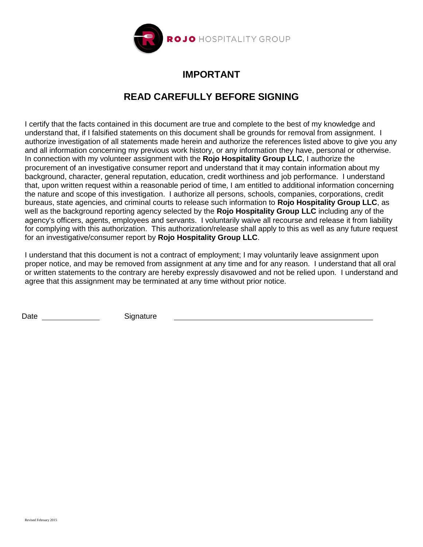

## **IMPORTANT**

## **READ CAREFULLY BEFORE SIGNING**

I certify that the facts contained in this document are true and complete to the best of my knowledge and understand that, if I falsified statements on this document shall be grounds for removal from assignment. I authorize investigation of all statements made herein and authorize the references listed above to give you any and all information concerning my previous work history, or any information they have, personal or otherwise. In connection with my volunteer assignment with the **Rojo Hospitality Group LLC**, I authorize the procurement of an investigative consumer report and understand that it may contain information about my background, character, general reputation, education, credit worthiness and job performance. I understand that, upon written request within a reasonable period of time, I am entitled to additional information concerning the nature and scope of this investigation. I authorize all persons, schools, companies, corporations, credit bureaus, state agencies, and criminal courts to release such information to **Rojo Hospitality Group LLC**, as well as the background reporting agency selected by the **Rojo Hospitality Group LLC** including any of the agency's officers, agents, employees and servants. I voluntarily waive all recourse and release it from liability for complying with this authorization. This authorization/release shall apply to this as well as any future request for an investigative/consumer report by **Rojo Hospitality Group LLC**.

I understand that this document is not a contract of employment; I may voluntarily leave assignment upon proper notice, and may be removed from assignment at any time and for any reason. I understand that all oral or written statements to the contrary are hereby expressly disavowed and not be relied upon. I understand and agree that this assignment may be terminated at any time without prior notice.

Date Signature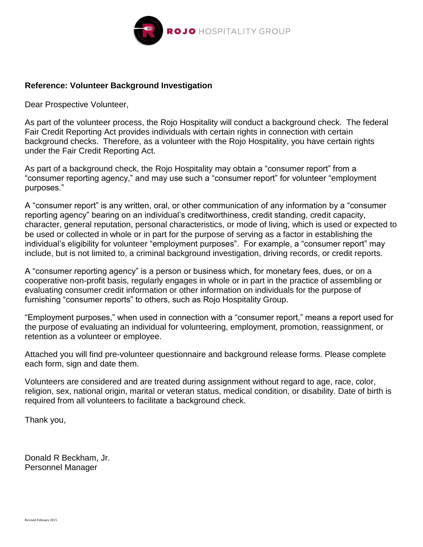

### **Reference: Volunteer Background Investigation**

Dear Prospective Volunteer,

As part of the volunteer process, the Rojo Hospitality will conduct a background check. The federal Fair Credit Reporting Act provides individuals with certain rights in connection with certain background checks. Therefore, as a volunteer with the Rojo Hospitality, you have certain rights under the Fair Credit Reporting Act.

As part of a background check, the Rojo Hospitality may obtain a "consumer report" from a "consumer reporting agency," and may use such a "consumer report" for volunteer "employment purposes."

A "consumer report" is any written, oral, or other communication of any information by a "consumer reporting agency" bearing on an individual's creditworthiness, credit standing, credit capacity, character, general reputation, personal characteristics, or mode of living, which is used or expected to be used or collected in whole or in part for the purpose of serving as a factor in establishing the individual's eligibility for volunteer "employment purposes". For example, a "consumer report" may include, but is not limited to, a criminal background investigation, driving records, or credit reports.

A "consumer reporting agency" is a person or business which, for monetary fees, dues, or on a cooperative non-profit basis, regularly engages in whole or in part in the practice of assembling or evaluating consumer credit information or other information on individuals for the purpose of furnishing "consumer reports" to others, such as Rojo Hospitality Group.

"Employment purposes," when used in connection with a "consumer report," means a report used for the purpose of evaluating an individual for volunteering, employment, promotion, reassignment, or retention as a volunteer or employee.

Attached you will find pre-volunteer questionnaire and background release forms. Please complete each form, sign and date them.

Volunteers are considered and are treated during assignment without regard to age, race, color, religion, sex, national origin, marital or veteran status, medical condition, or disability. Date of birth is required from all volunteers to facilitate a background check.

Thank you,

Donald R Beckham, Jr. Personnel Manager